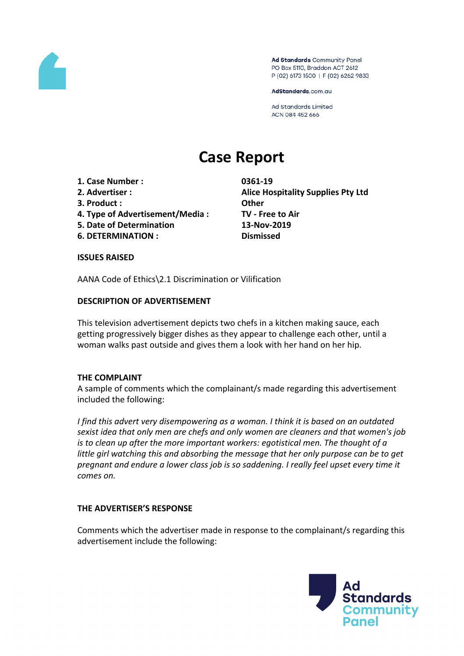

Ad Standards Community Panel PO Box 5110, Braddon ACT 2612 P (02) 6173 1500 | F (02) 6262 9833

AdStandards.com.au

Ad Standards Limited ACN 084 452 666

# **Case Report**

- **1. Case Number : 0361-19**
- 
- **3. Product : Other**
- **4. Type of Advertisement/Media : TV - Free to Air**
- **5. Date of Determination 13-Nov-2019**
- **6. DETERMINATION : Dismissed**

**2. Advertiser : Alice Hospitality Supplies Pty Ltd**

#### **ISSUES RAISED**

AANA Code of Ethics\2.1 Discrimination or Vilification

### **DESCRIPTION OF ADVERTISEMENT**

This television advertisement depicts two chefs in a kitchen making sauce, each getting progressively bigger dishes as they appear to challenge each other, until a woman walks past outside and gives them a look with her hand on her hip.

#### **THE COMPLAINT**

A sample of comments which the complainant/s made regarding this advertisement included the following:

*I find this advert very disempowering as a woman. I think it is based on an outdated sexist idea that only men are chefs and only women are cleaners and that women's job is to clean up after the more important workers: egotistical men. The thought of a little girl watching this and absorbing the message that her only purpose can be to get pregnant and endure a lower class job is so saddening. I really feel upset every time it comes on.*

#### **THE ADVERTISER'S RESPONSE**

Comments which the advertiser made in response to the complainant/s regarding this advertisement include the following:

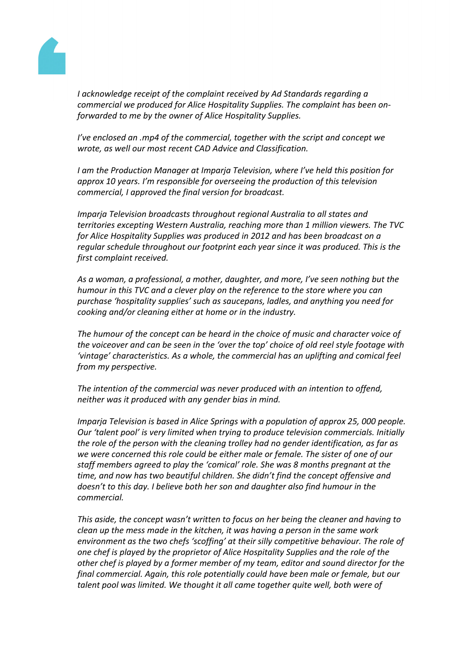

*I acknowledge receipt of the complaint received by Ad Standards regarding a commercial we produced for Alice Hospitality Supplies. The complaint has been onforwarded to me by the owner of Alice Hospitality Supplies.*

*I've enclosed an .mp4 of the commercial, together with the script and concept we wrote, as well our most recent CAD Advice and Classification.*

*I am the Production Manager at Imparja Television, where I've held this position for approx 10 years. I'm responsible for overseeing the production of this television commercial, I approved the final version for broadcast.*

*Imparja Television broadcasts throughout regional Australia to all states and territories excepting Western Australia, reaching more than 1 million viewers. The TVC for Alice Hospitality Supplies was produced in 2012 and has been broadcast on a regular schedule throughout our footprint each year since it was produced. This is the first complaint received.*

*As a woman, a professional, a mother, daughter, and more, I've seen nothing but the humour in this TVC and a clever play on the reference to the store where you can purchase 'hospitality supplies' such as saucepans, ladles, and anything you need for cooking and/or cleaning either at home or in the industry.*

*The humour of the concept can be heard in the choice of music and character voice of the voiceover and can be seen in the 'over the top' choice of old reel style footage with 'vintage' characteristics. As a whole, the commercial has an uplifting and comical feel from my perspective.*

*The intention of the commercial was never produced with an intention to offend, neither was it produced with any gender bias in mind.*

*Imparja Television is based in Alice Springs with a population of approx 25, 000 people. Our 'talent pool' is very limited when trying to produce television commercials. Initially the role of the person with the cleaning trolley had no gender identification, as far as we were concerned this role could be either male or female. The sister of one of our staff members agreed to play the 'comical' role. She was 8 months pregnant at the time, and now has two beautiful children. She didn't find the concept offensive and doesn't to this day. I believe both her son and daughter also find humour in the commercial.*

*This aside, the concept wasn't written to focus on her being the cleaner and having to clean up the mess made in the kitchen, it was having a person in the same work environment as the two chefs 'scoffing' at their silly competitive behaviour. The role of one chef is played by the proprietor of Alice Hospitality Supplies and the role of the other chef is played by a former member of my team, editor and sound director for the final commercial. Again, this role potentially could have been male or female, but our talent pool was limited. We thought it all came together quite well, both were of*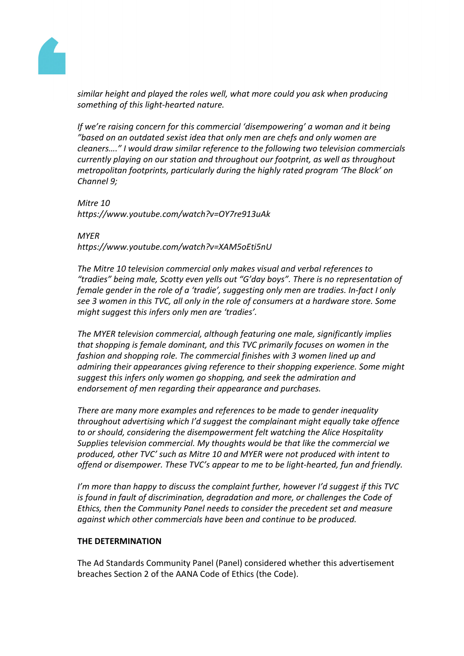

*similar height and played the roles well, what more could you ask when producing something of this light-hearted nature.*

*If we're raising concern for this commercial 'disempowering' a woman and it being "based on an outdated sexist idea that only men are chefs and only women are cleaners…." I would draw similar reference to the following two television commercials currently playing on our station and throughout our footprint, as well as throughout metropolitan footprints, particularly during the highly rated program 'The Block' on Channel 9;*

*Mitre 10 https://www.youtube.com/watch?v=OY7re913uAk*

*MYER https://www.youtube.com/watch?v=XAM5oEti5nU*

*The Mitre 10 television commercial only makes visual and verbal references to "tradies" being male, Scotty even yells out "G'day boys". There is no representation of female gender in the role of a 'tradie', suggesting only men are tradies. In-fact I only see 3 women in this TVC, all only in the role of consumers at a hardware store. Some might suggest this infers only men are 'tradies'.*

*The MYER television commercial, although featuring one male, significantly implies that shopping is female dominant, and this TVC primarily focuses on women in the fashion and shopping role. The commercial finishes with 3 women lined up and admiring their appearances giving reference to their shopping experience. Some might suggest this infers only women go shopping, and seek the admiration and endorsement of men regarding their appearance and purchases.*

*There are many more examples and references to be made to gender inequality throughout advertising which I'd suggest the complainant might equally take offence to or should, considering the disempowerment felt watching the Alice Hospitality Supplies television commercial. My thoughts would be that like the commercial we produced, other TVC' such as Mitre 10 and MYER were not produced with intent to offend or disempower. These TVC's appear to me to be light-hearted, fun and friendly.*

*I'm more than happy to discuss the complaint further, however I'd suggest if this TVC is found in fault of discrimination, degradation and more, or challenges the Code of Ethics, then the Community Panel needs to consider the precedent set and measure against which other commercials have been and continue to be produced.*

## **THE DETERMINATION**

The Ad Standards Community Panel (Panel) considered whether this advertisement breaches Section 2 of the AANA Code of Ethics (the Code).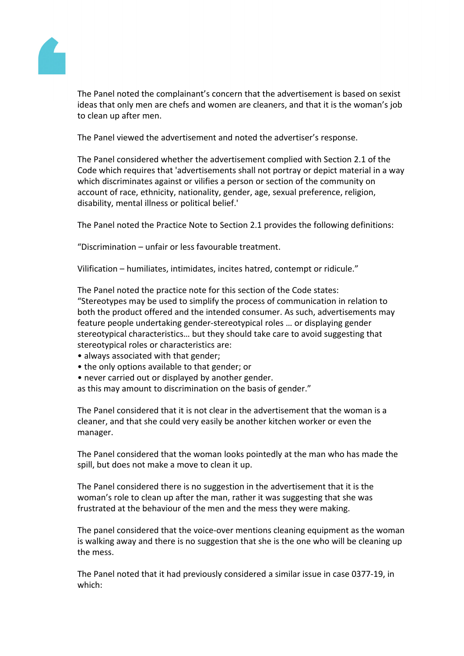

The Panel noted the complainant's concern that the advertisement is based on sexist ideas that only men are chefs and women are cleaners, and that it is the woman's job to clean up after men.

The Panel viewed the advertisement and noted the advertiser's response.

The Panel considered whether the advertisement complied with Section 2.1 of the Code which requires that 'advertisements shall not portray or depict material in a way which discriminates against or vilifies a person or section of the community on account of race, ethnicity, nationality, gender, age, sexual preference, religion, disability, mental illness or political belief.'

The Panel noted the Practice Note to Section 2.1 provides the following definitions:

"Discrimination – unfair or less favourable treatment.

Vilification – humiliates, intimidates, incites hatred, contempt or ridicule."

The Panel noted the practice note for this section of the Code states:

"Stereotypes may be used to simplify the process of communication in relation to both the product offered and the intended consumer. As such, advertisements may feature people undertaking gender-stereotypical roles … or displaying gender stereotypical characteristics… but they should take care to avoid suggesting that stereotypical roles or characteristics are:

- always associated with that gender;
- the only options available to that gender; or
- never carried out or displayed by another gender.

as this may amount to discrimination on the basis of gender."

The Panel considered that it is not clear in the advertisement that the woman is a cleaner, and that she could very easily be another kitchen worker or even the manager.

The Panel considered that the woman looks pointedly at the man who has made the spill, but does not make a move to clean it up.

The Panel considered there is no suggestion in the advertisement that it is the woman's role to clean up after the man, rather it was suggesting that she was frustrated at the behaviour of the men and the mess they were making.

The panel considered that the voice-over mentions cleaning equipment as the woman is walking away and there is no suggestion that she is the one who will be cleaning up the mess.

The Panel noted that it had previously considered a similar issue in case 0377-19, in which: